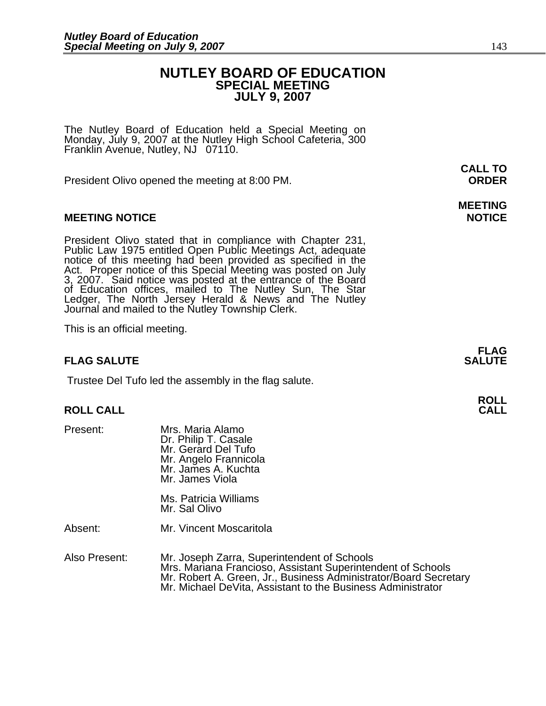# **NUTLEY BOARD OF EDUCATION SPECIAL MEETING JULY 9, 2007**

The Nutley Board of Education held a Special Meeting on Monday, July 9, 2007 at the Nutley High School Cafeteria, 300 Franklin Avenue, Nutley, NJ 07110.

President Olivo opened the meeting at 8:00 PM. **ORDER**

# **MEETING NOTICE NOTICE REPORTS AND ALCOHOL**

President Olivo stated that in compliance with Chapter 231,<br>Public Law 1975 entitled Open Public Meetings Act, adequate<br>notice of this meeting had been provided as specified in the<br>Act. Proper notice of this Special Meetin of Education offices, mailed to The Nutley Sun, The Star Ledger, The North Jersey Herald & News and The Nutley Journal and mailed to the Nutley Township Clerk.

This is an official meeting.

# **FLAG SALUTE** SALUTE

Trustee Del Tufo led the assembly in the flag salute.

# **ROLL ROLL CALL CALL**

| Present: | Mrs. Maria Alamo<br>Dr. Philip T. Casale<br>Mr. Gerard Del Tufo<br>Mr. Angelo Frannicola<br>Mr. James A. Kuchta<br>Mr. James Viola |
|----------|------------------------------------------------------------------------------------------------------------------------------------|
|          | Ms. Patricia Williams<br>Mr. Sal Olivo                                                                                             |
| Absent:  | Mr. Vincent Moscaritola                                                                                                            |
|          |                                                                                                                                    |

Also Present: Mr. Joseph Zarra, Superintendent of Schools<br>Mrs. Mariana Francioso, Assistant Superintendent of Schools Mr. Robert A. Green, Jr., Business Administrator/Board Secretary<br>Mr. Michael DeVita, Assistant to the Business Administrator

**CALL TO** 

# **MEETING**

**FLAG**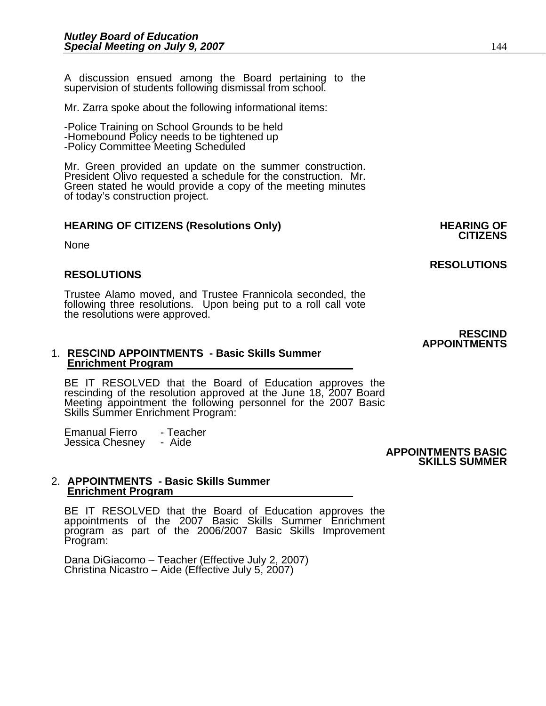A discussion ensued among the Board pertaining to the supervision of students following dismissal from school.

Mr. Zarra spoke about the following informational items:

-Police Training on School Grounds to be held -Homebound Policy needs to be tightened up -Policy Committee Meeting Scheduled

Mr. Green provided an update on the summer construction. President Olivo requested a schedule for the construction. Mr. Green stated he would provide a copy of the meeting minutes of today's construction project.

# **HEARING OF CITIZENS (Resolutions Only) HEARING OF CITIZENS**

**None** 

## **RESOLUTIONS**

Trustee Alamo moved, and Trustee Frannicola seconded, the following three resolutions. Upon being put to a roll call vote the resolutions were approved.

#### 1. **RESCIND APPOINTMENTS - Basic Skills Summer Enrichment Program**

BE IT RESOLVED that the Board of Education approves the rescinding of the resolution approved at the June 18, 2007 Board<br>Meeting appointment the following personnel for the 2007 Basic<br>Skills Summer Enrichment Program:

Emanual Fierro - Teacher<br>Jessica Chesney - Aide

Jessica Chesney - Aide **APPOINTMENTS BASIC SKILLS SUMMER** 

#### 2. **APPOINTMENTS - Basic Skills Summer Enrichment Program**

BE IT RESOLVED that the Board of Education approves the<br>appointments of the 2007 Basic Skills Summer Enrichment program as part of the 2006/2007 Basic Skills Improvement<br>Program:

Dana DiGiacomo – Teacher (Effective July 2, 2007) Christina Nicastro – Aide (Effective July 5, 2007)

**RESOLUTIONS** 

## **RESCIND APPOINTMENTS**